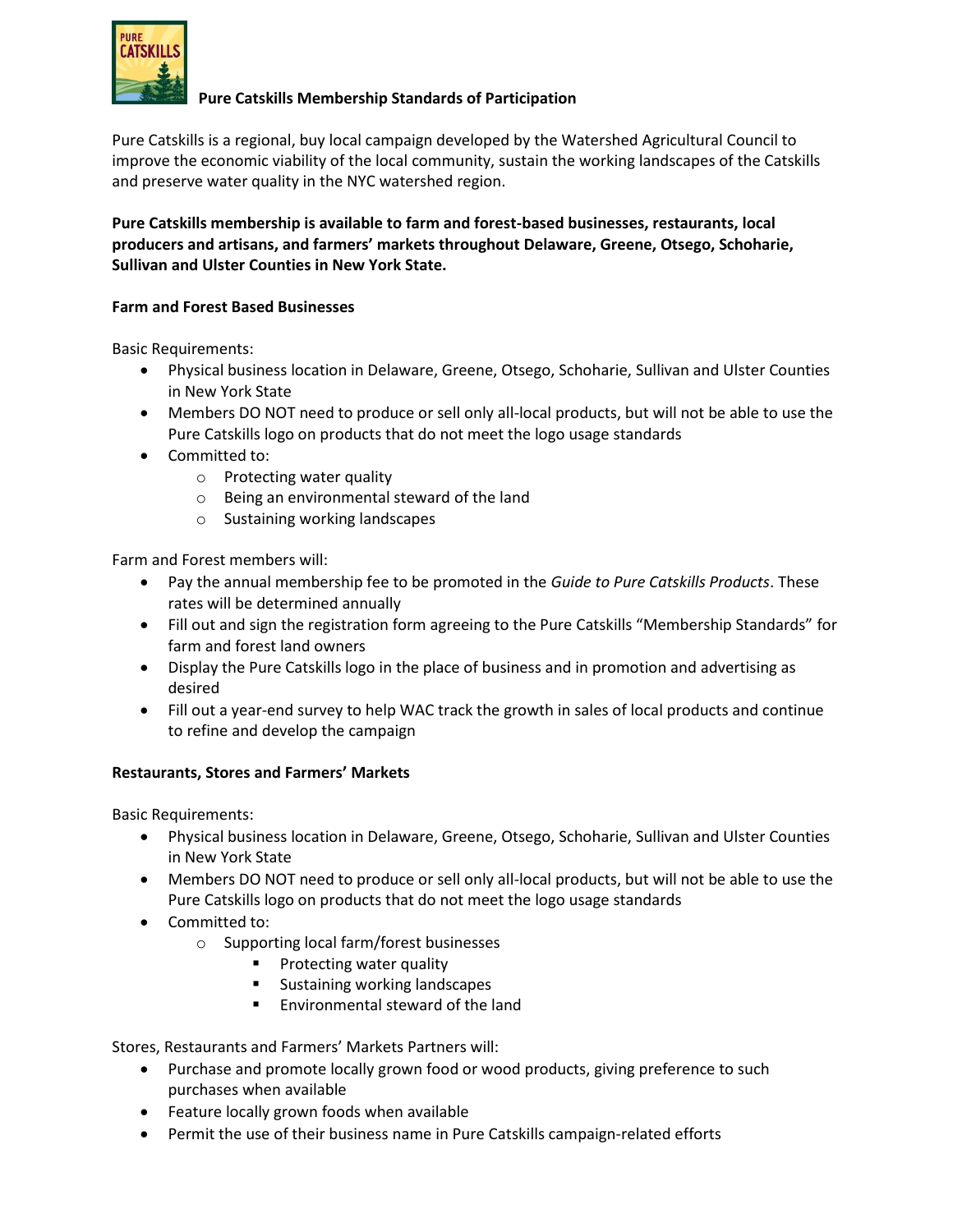

# **Pure Catskills Membership Standards of Participation**

Pure Catskills is a regional, buy local campaign developed by the Watershed Agricultural Council to improve the economic viability of the local community, sustain the working landscapes of the Catskills and preserve water quality in the NYC watershed region.

**Pure Catskills membership is available to farm and forest-based businesses, restaurants, local producers and artisans, and farmers' markets throughout Delaware, Greene, Otsego, Schoharie, Sullivan and Ulster Counties in New York State.**

## **Farm and Forest Based Businesses**

Basic Requirements:

- Physical business location in Delaware, Greene, Otsego, Schoharie, Sullivan and Ulster Counties in New York State
- Members DO NOT need to produce or sell only all-local products, but will not be able to use the Pure Catskills logo on products that do not meet the logo usage standards
- Committed to:
	- o Protecting water quality
	- o Being an environmental steward of the land
	- o Sustaining working landscapes

Farm and Forest members will:

- Pay the annual membership fee to be promoted in the *Guide to Pure Catskills Products*. These rates will be determined annually
- Fill out and sign the registration form agreeing to the Pure Catskills "Membership Standards" for farm and forest land owners
- Display the Pure Catskills logo in the place of business and in promotion and advertising as desired
- Fill out a year-end survey to help WAC track the growth in sales of local products and continue to refine and develop the campaign

## **Restaurants, Stores and Farmers' Markets**

Basic Requirements:

- Physical business location in Delaware, Greene, Otsego, Schoharie, Sullivan and Ulster Counties in New York State
- Members DO NOT need to produce or sell only all-local products, but will not be able to use the Pure Catskills logo on products that do not meet the logo usage standards
- Committed to:
	- o Supporting local farm/forest businesses
		- **Protecting water quality**
		- **Sustaining working landscapes**
		- Environmental steward of the land

Stores, Restaurants and Farmers' Markets Partners will:

- Purchase and promote locally grown food or wood products, giving preference to such purchases when available
- Feature locally grown foods when available
- Permit the use of their business name in Pure Catskills campaign-related efforts